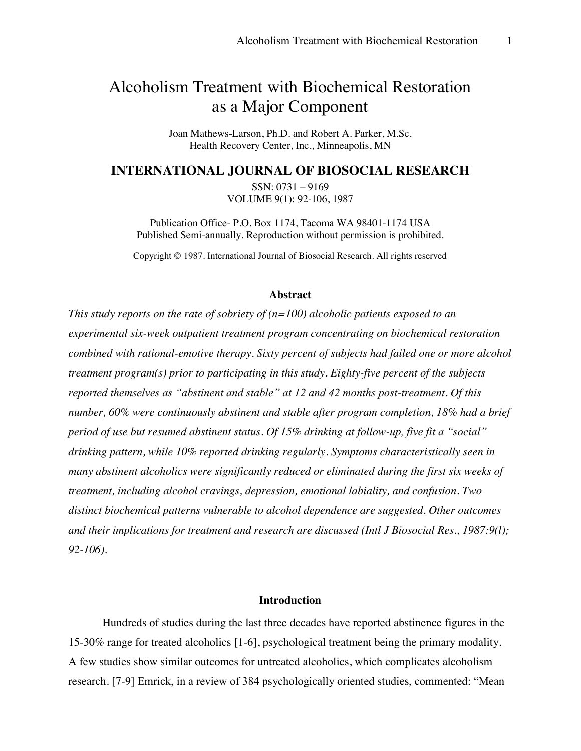# Alcoholism Treatment with Biochemical Restoration as a Major Component

Joan Mathews-Larson, Ph.D. and Robert A. Parker, M.Sc. Health Recovery Center, Inc., Minneapolis, MN

## **INTERNATIONAL JOURNAL OF BIOSOCIAL RESEARCH**

 $SSN: 0731 - 9169$ VOLUME 9(1): 92-106, 1987

Publication Office- P.O. Box 1174, Tacoma WA 98401-1174 USA Published Semi-annually. Reproduction without permission is prohibited.

Copyright © 1987. International Journal of Biosocial Research. All rights reserved

#### **Abstract**

*This study reports on the rate of sobriety of (n=100) alcoholic patients exposed to an experimental six-week outpatient treatment program concentrating on biochemical restoration combined with rational-emotive therapy. Sixty percent of subjects had failed one or more alcohol treatment program(s) prior to participating in this study. Eighty-five percent of the subjects reported themselves as "abstinent and stable" at 12 and 42 months post-treatment. Of this number, 60% were continuously abstinent and stable after program completion, 18% had a brief period of use but resumed abstinent status. Of 15% drinking at follow-up, five fit a "social" drinking pattern, while 10% reported drinking regularly. Symptoms characteristically seen in many abstinent alcoholics were significantly reduced or eliminated during the first six weeks of treatment, including alcohol cravings, depression, emotional labiality, and confusion. Two distinct biochemical patterns vulnerable to alcohol dependence are suggested. Other outcomes and their implications for treatment and research are discussed (Intl J Biosocial Res., 1987:9(l); 92-106).*

#### **Introduction**

Hundreds of studies during the last three decades have reported abstinence figures in the 15-30% range for treated alcoholics [1-6], psychological treatment being the primary modality. A few studies show similar outcomes for untreated alcoholics, which complicates alcoholism research. [7-9] Emrick, in a review of 384 psychologically oriented studies, commented: "Mean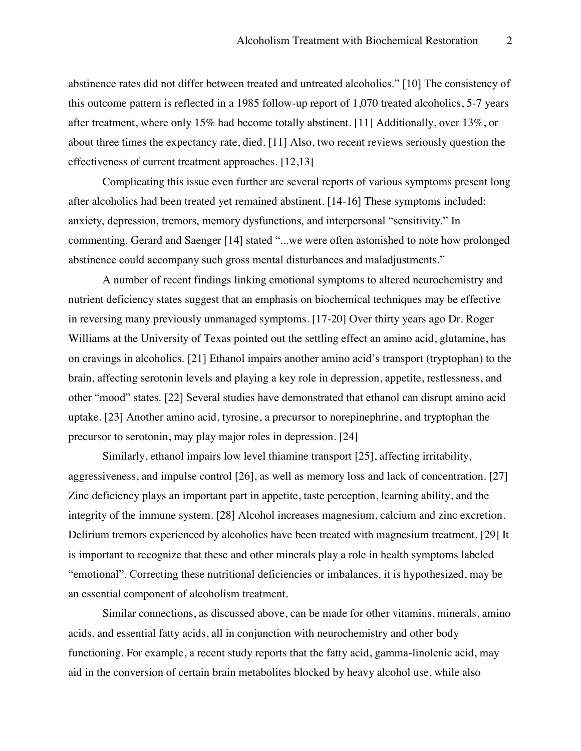abstinence rates did not differ between treated and untreated alcoholics." [10] The consistency of this outcome pattern is reflected in a 1985 follow-up report of 1,070 treated alcoholics, 5-7 years after treatment, where only 15% had become totally abstinent. [11] Additionally, over 13%, or about three times the expectancy rate, died. [11] Also, two recent reviews seriously question the effectiveness of current treatment approaches. [12,13]

Complicating this issue even further are several reports of various symptoms present long after alcoholics had been treated yet remained abstinent. [14-16] These symptoms included: anxiety, depression, tremors, memory dysfunctions, and interpersonal "sensitivity." In commenting, Gerard and Saenger [14] stated "...we were often astonished to note how prolonged abstinence could accompany such gross mental disturbances and maladjustments."

A number of recent findings linking emotional symptoms to altered neurochemistry and nutrient deficiency states suggest that an emphasis on biochemical techniques may be effective in reversing many previously unmanaged symptoms. [17-20] Over thirty years ago Dr. Roger Williams at the University of Texas pointed out the settling effect an amino acid, glutamine, has on cravings in alcoholics. [21] Ethanol impairs another amino acid's transport (tryptophan) to the brain, affecting serotonin levels and playing a key role in depression, appetite, restlessness, and other "mood" states. [22] Several studies have demonstrated that ethanol can disrupt amino acid uptake. [23] Another amino acid, tyrosine, a precursor to norepinephrine, and tryptophan the precursor to serotonin, may play major roles in depression. [24]

Similarly, ethanol impairs low level thiamine transport [25], affecting irritability, aggressiveness, and impulse control [26], as well as memory loss and lack of concentration. [27] Zinc deficiency plays an important part in appetite, taste perception, learning ability, and the integrity of the immune system. [28] Alcohol increases magnesium, calcium and zinc excretion. Delirium tremors experienced by alcoholics have been treated with magnesium treatment. [29] It is important to recognize that these and other minerals play a role in health symptoms labeled "emotional". Correcting these nutritional deficiencies or imbalances, it is hypothesized, may be an essential component of alcoholism treatment.

Similar connections, as discussed above, can be made for other vitamins, minerals, amino acids, and essential fatty acids, all in conjunction with neurochemistry and other body functioning. For example, a recent study reports that the fatty acid, gamma-linolenic acid, may aid in the conversion of certain brain metabolites blocked by heavy alcohol use, while also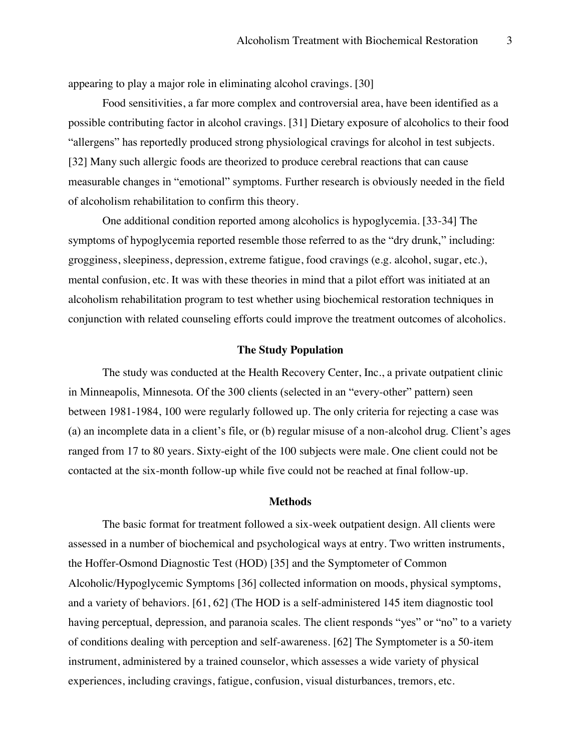appearing to play a major role in eliminating alcohol cravings. [30]

Food sensitivities, a far more complex and controversial area, have been identified as a possible contributing factor in alcohol cravings. [31] Dietary exposure of alcoholics to their food "allergens" has reportedly produced strong physiological cravings for alcohol in test subjects. [32] Many such allergic foods are theorized to produce cerebral reactions that can cause measurable changes in "emotional" symptoms. Further research is obviously needed in the field of alcoholism rehabilitation to confirm this theory.

One additional condition reported among alcoholics is hypoglycemia. [33-34] The symptoms of hypoglycemia reported resemble those referred to as the "dry drunk," including: grogginess, sleepiness, depression, extreme fatigue, food cravings (e.g. alcohol, sugar, etc.), mental confusion, etc. It was with these theories in mind that a pilot effort was initiated at an alcoholism rehabilitation program to test whether using biochemical restoration techniques in conjunction with related counseling efforts could improve the treatment outcomes of alcoholics.

#### **The Study Population**

The study was conducted at the Health Recovery Center, Inc., a private outpatient clinic in Minneapolis, Minnesota. Of the 300 clients (selected in an "every-other" pattern) seen between 1981-1984, 100 were regularly followed up. The only criteria for rejecting a case was (a) an incomplete data in a client's file, or (b) regular misuse of a non-alcohol drug. Client's ages ranged from 17 to 80 years. Sixty-eight of the 100 subjects were male. One client could not be contacted at the six-month follow-up while five could not be reached at final follow-up.

#### **Methods**

The basic format for treatment followed a six-week outpatient design. All clients were assessed in a number of biochemical and psychological ways at entry. Two written instruments, the Hoffer-Osmond Diagnostic Test (HOD) [35] and the Symptometer of Common Alcoholic/Hypoglycemic Symptoms [36] collected information on moods, physical symptoms, and a variety of behaviors. [61, 62] (The HOD is a self-administered 145 item diagnostic tool having perceptual, depression, and paranoia scales. The client responds "ves" or "no" to a variety of conditions dealing with perception and self-awareness. [62] The Symptometer is a 50-item instrument, administered by a trained counselor, which assesses a wide variety of physical experiences, including cravings, fatigue, confusion, visual disturbances, tremors, etc.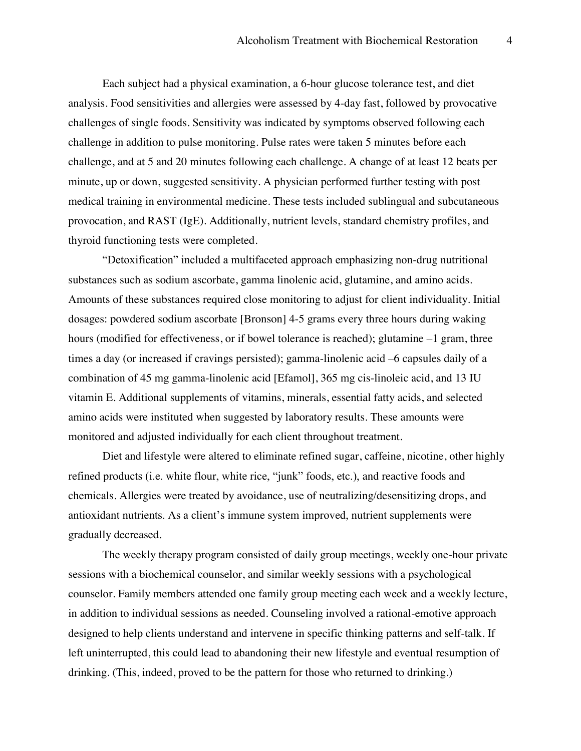Each subject had a physical examination, a 6-hour glucose tolerance test, and diet analysis. Food sensitivities and allergies were assessed by 4-day fast, followed by provocative challenges of single foods. Sensitivity was indicated by symptoms observed following each challenge in addition to pulse monitoring. Pulse rates were taken 5 minutes before each challenge, and at 5 and 20 minutes following each challenge. A change of at least 12 beats per minute, up or down, suggested sensitivity. A physician performed further testing with post medical training in environmental medicine. These tests included sublingual and subcutaneous provocation, and RAST (IgE). Additionally, nutrient levels, standard chemistry profiles, and thyroid functioning tests were completed.

"Detoxification" included a multifaceted approach emphasizing non-drug nutritional substances such as sodium ascorbate, gamma linolenic acid, glutamine, and amino acids. Amounts of these substances required close monitoring to adjust for client individuality. Initial dosages: powdered sodium ascorbate [Bronson] 4-5 grams every three hours during waking hours (modified for effectiveness, or if bowel tolerance is reached); glutamine  $-1$  gram, three times a day (or increased if cravings persisted); gamma-linolenic acid -6 capsules daily of a combination of 45 mg gamma-linolenic acid [Efamol], 365 mg cis-linoleic acid, and 13 IU vitamin E. Additional supplements of vitamins, minerals, essential fatty acids, and selected amino acids were instituted when suggested by laboratory results. These amounts were monitored and adjusted individually for each client throughout treatment.

Diet and lifestyle were altered to eliminate refined sugar, caffeine, nicotine, other highly refined products (i.e. white flour, white rice, "junk" foods, etc.), and reactive foods and chemicals. Allergies were treated by avoidance, use of neutralizing/desensitizing drops, and antioxidant nutrients. As a client's immune system improved, nutrient supplements were gradually decreased.

The weekly therapy program consisted of daily group meetings, weekly one-hour private sessions with a biochemical counselor, and similar weekly sessions with a psychological counselor. Family members attended one family group meeting each week and a weekly lecture, in addition to individual sessions as needed. Counseling involved a rational-emotive approach designed to help clients understand and intervene in specific thinking patterns and self-talk. If left uninterrupted, this could lead to abandoning their new lifestyle and eventual resumption of drinking. (This, indeed, proved to be the pattern for those who returned to drinking.)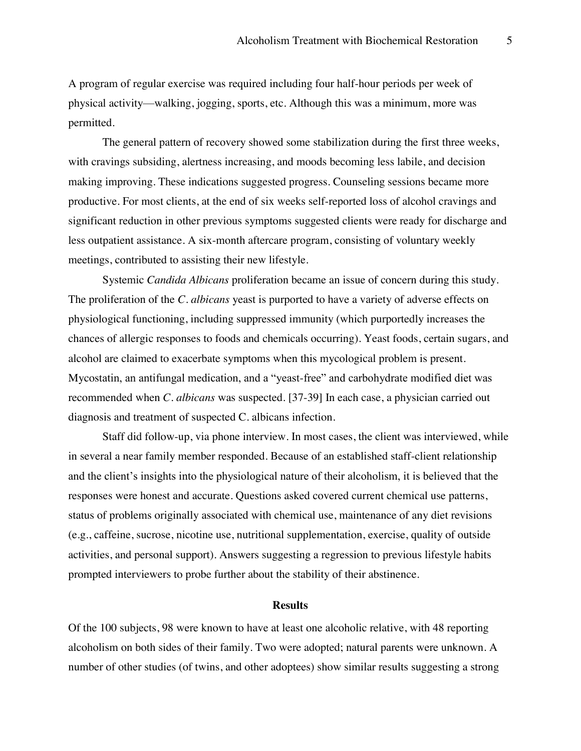A program of regular exercise was required including four half-hour periods per week of physical activity—walking, jogging, sports, etc. Although this was a minimum, more was permitted.

The general pattern of recovery showed some stabilization during the first three weeks, with cravings subsiding, alertness increasing, and moods becoming less labile, and decision making improving. These indications suggested progress. Counseling sessions became more productive. For most clients, at the end of six weeks self-reported loss of alcohol cravings and significant reduction in other previous symptoms suggested clients were ready for discharge and less outpatient assistance. A six-month aftercare program, consisting of voluntary weekly meetings, contributed to assisting their new lifestyle.

Systemic *Candida Albicans* proliferation became an issue of concern during this study. The proliferation of the *C. albicans* yeast is purported to have a variety of adverse effects on physiological functioning, including suppressed immunity (which purportedly increases the chances of allergic responses to foods and chemicals occurring). Yeast foods, certain sugars, and alcohol are claimed to exacerbate symptoms when this mycological problem is present. Mycostatin, an antifungal medication, and a "yeast-free" and carbohydrate modified diet was recommended when *C. albicans* was suspected. [37-39] In each case, a physician carried out diagnosis and treatment of suspected C. albicans infection.

Staff did follow-up, via phone interview. In most cases, the client was interviewed, while in several a near family member responded. Because of an established staff-client relationship and the client's insights into the physiological nature of their alcoholism, it is believed that the responses were honest and accurate. Questions asked covered current chemical use patterns, status of problems originally associated with chemical use, maintenance of any diet revisions (e.g., caffeine, sucrose, nicotine use, nutritional supplementation, exercise, quality of outside activities, and personal support). Answers suggesting a regression to previous lifestyle habits prompted interviewers to probe further about the stability of their abstinence.

#### **Results**

Of the 100 subjects, 98 were known to have at least one alcoholic relative, with 48 reporting alcoholism on both sides of their family. Two were adopted; natural parents were unknown. A number of other studies (of twins, and other adoptees) show similar results suggesting a strong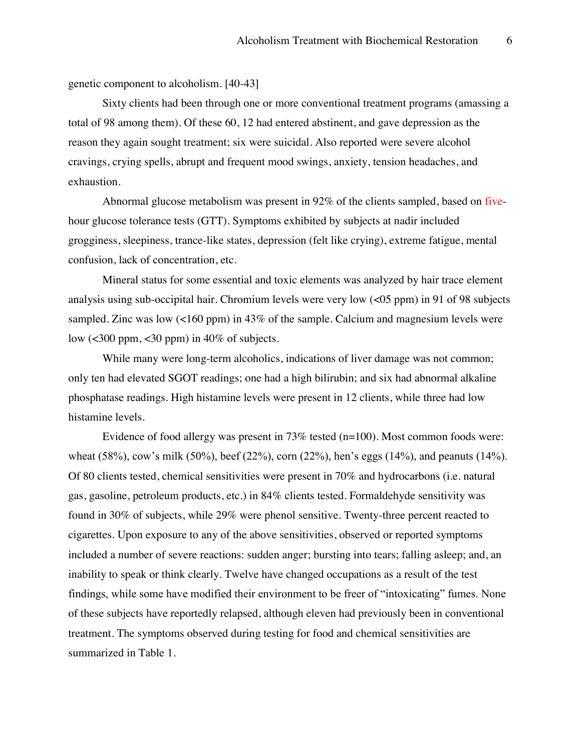genetic component to alcoholism. [40-43]

Sixty clients had been through one or more conventional treatment programs (amassing a total of 98 among them). Of these 60, 12 had entered abstinent, and gave depression as the reason they again sought treatment; six were suicidal. Also reported were severe alcohol cravings, crying spells, abrupt and frequent mood swings, anxiety, tension headaches, and exhaustion.

Abnormal glucose metabolism was present in 92% of the clients sampled, based on fivehour glucose tolerance tests (GTT). Symptoms exhibited by subjects at nadir included grogginess, sleepiness, trance-like states, depression (felt like crying), extreme fatigue, mental confusion, lack of concentration, etc.

Mineral status for some essential and toxic elements was analyzed by hair trace element analysis using sub-occipital hair. Chromium levels were very low (<05 ppm) in 91 of 98 subjects sampled. Zinc was low (<160 ppm) in 43% of the sample. Calcium and magnesium levels were low  $\left($  <300 ppm, <30 ppm) in 40% of subjects.

While many were long-term alcoholics, indications of liver damage was not common; only ten had elevated SGOT readings; one had a high bilirubin; and six had abnormal alkaline phosphatase readings. High histamine levels were present in 12 clients, while three had low histamine levels.

Evidence of food allergy was present in 73% tested (n=100). Most common foods were: wheat (58%), cow's milk (50%), beef (22%), corn (22%), hen's eggs (14%), and peanuts (14%). Of 80 clients tested, chemical sensitivities were present in 70% and hydrocarbons (i.e. natural gas, gasoline, petroleum products, etc.) in 84% clients tested. Formaldehyde sensitivity was found in 30% of subjects, while 29% were phenol sensitive. Twenty-three percent reacted to cigarettes. Upon exposure to any of the above sensitivities, observed or reported symptoms included a number of severe reactions: sudden anger; bursting into tears; falling asleep; and, an inability to speak or think clearly. Twelve have changed occupations as a result of the test findings, while some have modified their environment to be freer of "intoxicating" fumes. None of these subjects have reportedly relapsed, although eleven had previously been in conventional treatment. The symptoms observed during testing for food and chemical sensitivities are summarized in Table 1.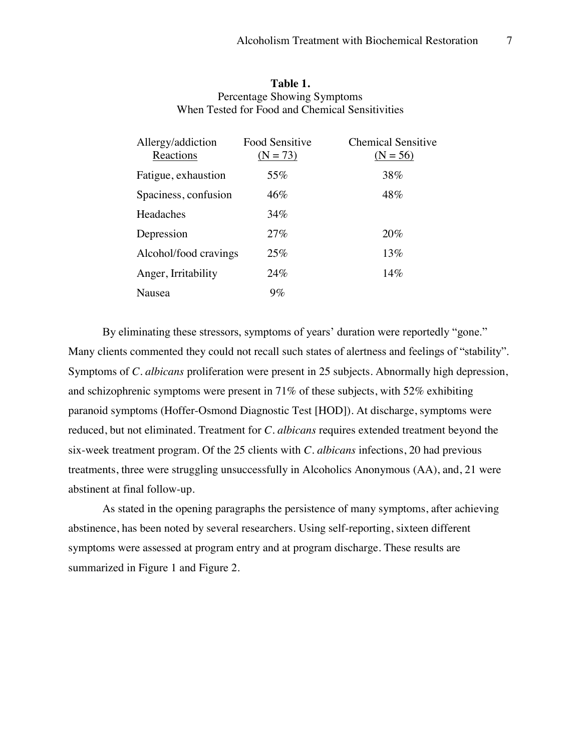| Table 1.                                        |
|-------------------------------------------------|
| Percentage Showing Symptoms                     |
| When Tested for Food and Chemical Sensitivities |

| Allergy/addiction<br>Reactions | <b>Food Sensitive</b><br>$(N = 73)$ | <b>Chemical Sensitive</b><br>$(N = 56)$ |
|--------------------------------|-------------------------------------|-----------------------------------------|
| Fatigue, exhaustion            | 55%                                 | 38%                                     |
| Spaciness, confusion           | 46%                                 | 48%                                     |
| Headaches                      | 34%                                 |                                         |
| Depression                     | 27%                                 | 20%                                     |
| Alcohol/food cravings          | 25%                                 | 13%                                     |
| Anger, Irritability            | 24%                                 | 14%                                     |
| Nausea                         | $9\%$                               |                                         |

By eliminating these stressors, symptoms of years' duration were reportedly "gone." Many clients commented they could not recall such states of alertness and feelings of "stability". Symptoms of *C. albicans* proliferation were present in 25 subjects. Abnormally high depression, and schizophrenic symptoms were present in 71% of these subjects, with 52% exhibiting paranoid symptoms (Hoffer-Osmond Diagnostic Test [HOD]). At discharge, symptoms were reduced, but not eliminated. Treatment for *C. albicans* requires extended treatment beyond the six-week treatment program. Of the 25 clients with *C. albicans* infections, 20 had previous treatments, three were struggling unsuccessfully in Alcoholics Anonymous (AA), and, 21 were abstinent at final follow-up.

As stated in the opening paragraphs the persistence of many symptoms, after achieving abstinence, has been noted by several researchers. Using self-reporting, sixteen different symptoms were assessed at program entry and at program discharge. These results are summarized in Figure 1 and Figure 2.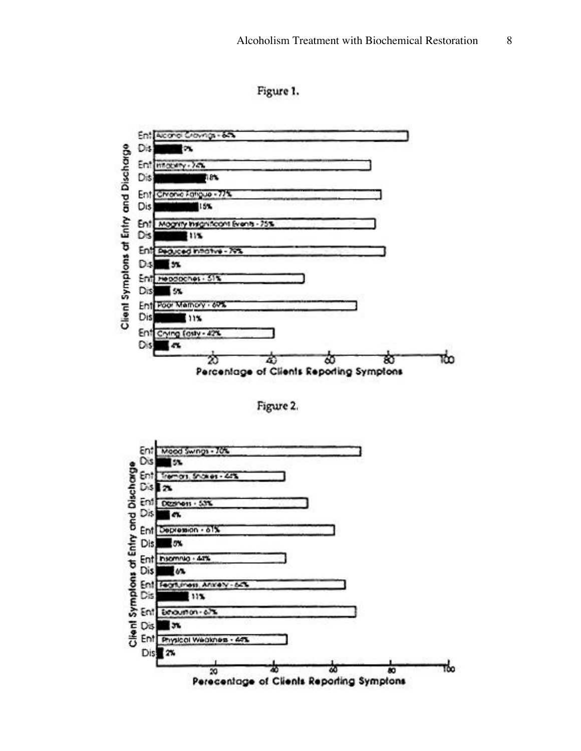Figure 1.



Figure 2.

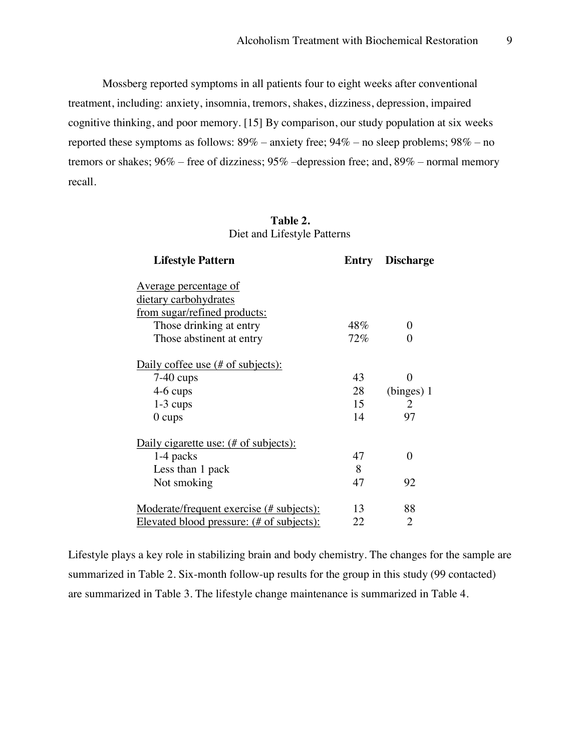Mossberg reported symptoms in all patients four to eight weeks after conventional treatment, including: anxiety, insomnia, tremors, shakes, dizziness, depression, impaired cognitive thinking, and poor memory. [15] By comparison, our study population at six weeks reported these symptoms as follows:  $89\%$  – anxiety free;  $94\%$  – no sleep problems;  $98\%$  – no tremors or shakes;  $96\%$  – free of dizziness;  $95\%$  –depression free; and,  $89\%$  – normal memory recall.

## **Table 2.** Diet and Lifestyle Patterns

| <b>Lifestyle Pattern</b>                        | Entry | <b>Discharge</b>            |
|-------------------------------------------------|-------|-----------------------------|
| <u>Average percentage of</u>                    |       |                             |
| dietary carbohydrates                           |       |                             |
| from sugar/refined products:                    |       |                             |
| Those drinking at entry                         | 48%   | $\Omega$                    |
| Those abstinent at entry                        | 72%   | 0                           |
| Daily coffee use (# of subjects):               |       |                             |
| $7-40$ cups                                     | 43    | 0                           |
| 4-6 cups                                        | 28    | (binges) 1                  |
| $1-3$ cups                                      | 15    | $\mathcal{D}_{\mathcal{L}}$ |
| $0 \text{ cups}$                                | 14    | 97                          |
| Daily cigarette use: (# of subjects):           |       |                             |
| 1-4 packs                                       | 47    | $\theta$                    |
| Less than 1 pack                                | 8     |                             |
| Not smoking                                     | 47    | 92                          |
| <u>Moderate/frequent exercise (# subjects):</u> | 13    | 88                          |
| Elevated blood pressure: (# of subjects):       | 22    | 2                           |

Lifestyle plays a key role in stabilizing brain and body chemistry. The changes for the sample are summarized in Table 2. Six-month follow-up results for the group in this study (99 contacted) are summarized in Table 3. The lifestyle change maintenance is summarized in Table 4.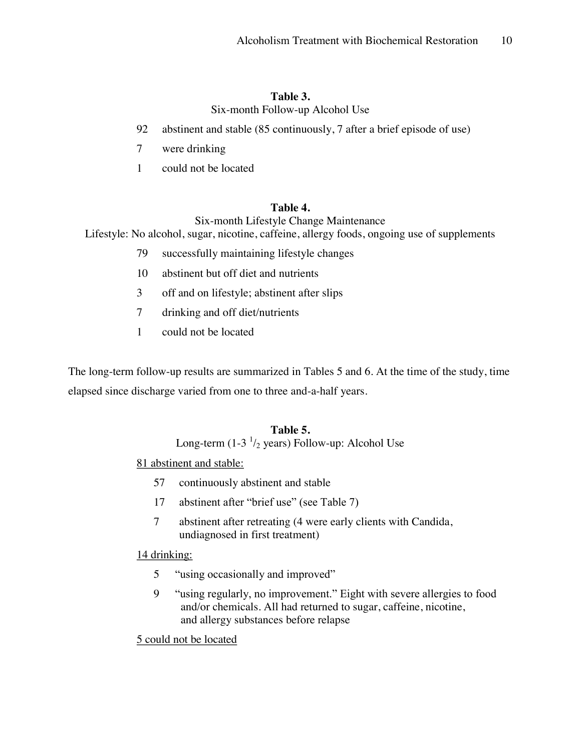#### **Table 3.**

Six-month Follow-up Alcohol Use

- 92 abstinent and stable (85 continuously, 7 after a brief episode of use)
- 7 were drinking
- 1 could not be located

### **Table 4.**

Six-month Lifestyle Change Maintenance

Lifestyle: No alcohol, sugar, nicotine, caffeine, allergy foods, ongoing use of supplements

- 79 successfully maintaining lifestyle changes
- 10 abstinent but off diet and nutrients
- 3 off and on lifestyle; abstinent after slips
- 7 drinking and off diet/nutrients
- 1 could not be located

The long-term follow-up results are summarized in Tables 5 and 6. At the time of the study, time elapsed since discharge varied from one to three and-a-half years.

### **Table 5.**

Long-term (1-3  $\frac{1}{2}$  years) Follow-up: Alcohol Use

## 81 abstinent and stable:

- 57 continuously abstinent and stable
- 17 abstinent after "brief use" (see Table 7)
- 7 abstinent after retreating (4 were early clients with Candida, undiagnosed in first treatment)

#### 14 drinking:

- 5 "using occasionally and improved"
- 9 "using regularly, no improvement." Eight with severe allergies to food and/or chemicals. All had returned to sugar, caffeine, nicotine, and allergy substances before relapse

5 could not be located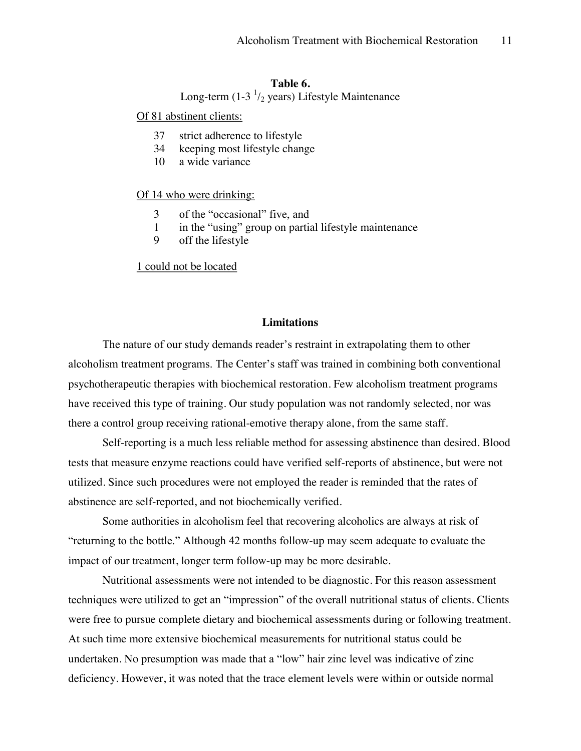## **Table 6.**

Long-term (1-3 $\frac{1}{2}$  years) Lifestyle Maintenance

Of 81 abstinent clients:

- 37 strict adherence to lifestyle
- 34 keeping most lifestyle change
- 10 a wide variance

#### Of 14 who were drinking:

- 3 of the "occasional" five, and
- 1 in the "using" group on partial lifestyle maintenance
- 9 off the lifestyle

1 could not be located

#### **Limitations**

The nature of our study demands reader's restraint in extrapolating them to other alcoholism treatment programs. The Center's staff was trained in combining both conventional psychotherapeutic therapies with biochemical restoration. Few alcoholism treatment programs have received this type of training. Our study population was not randomly selected, nor was there a control group receiving rational-emotive therapy alone, from the same staff.

Self-reporting is a much less reliable method for assessing abstinence than desired. Blood tests that measure enzyme reactions could have verified self-reports of abstinence, but were not utilized. Since such procedures were not employed the reader is reminded that the rates of abstinence are self-reported, and not biochemically verified.

Some authorities in alcoholism feel that recovering alcoholics are always at risk of "returning to the bottle." Although 42 months follow-up may seem adequate to evaluate the impact of our treatment, longer term follow-up may be more desirable.

Nutritional assessments were not intended to be diagnostic. For this reason assessment techniques were utilized to get an "impression" of the overall nutritional status of clients. Clients were free to pursue complete dietary and biochemical assessments during or following treatment. At such time more extensive biochemical measurements for nutritional status could be undertaken. No presumption was made that a "low" hair zinc level was indicative of zinc deficiency. However, it was noted that the trace element levels were within or outside normal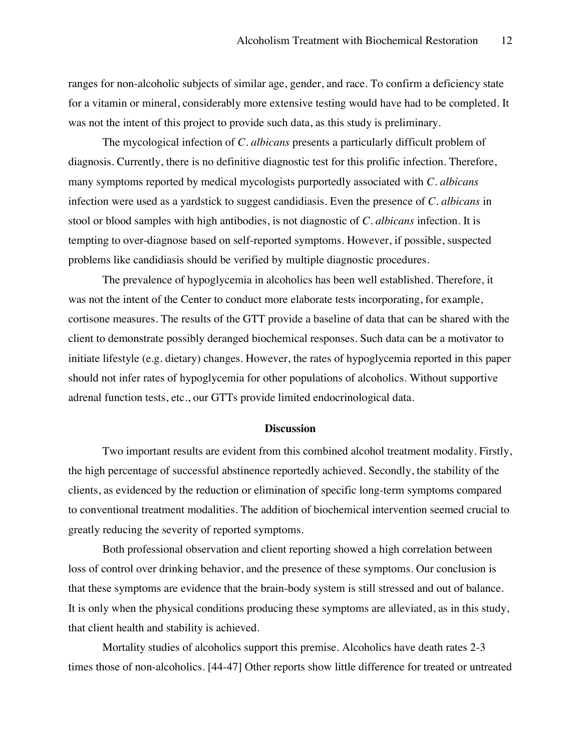ranges for non-alcoholic subjects of similar age, gender, and race. To confirm a deficiency state for a vitamin or mineral, considerably more extensive testing would have had to be completed. It was not the intent of this project to provide such data, as this study is preliminary.

The mycological infection of *C. albicans* presents a particularly difficult problem of diagnosis. Currently, there is no definitive diagnostic test for this prolific infection. Therefore, many symptoms reported by medical mycologists purportedly associated with *C. albicans* infection were used as a yardstick to suggest candidiasis. Even the presence of *C. albicans* in stool or blood samples with high antibodies, is not diagnostic of *C. albicans* infection. It is tempting to over-diagnose based on self-reported symptoms. However, if possible, suspected problems like candidiasis should be verified by multiple diagnostic procedures.

The prevalence of hypoglycemia in alcoholics has been well established. Therefore, it was not the intent of the Center to conduct more elaborate tests incorporating, for example, cortisone measures. The results of the GTT provide a baseline of data that can be shared with the client to demonstrate possibly deranged biochemical responses. Such data can be a motivator to initiate lifestyle (e.g. dietary) changes. However, the rates of hypoglycemia reported in this paper should not infer rates of hypoglycemia for other populations of alcoholics. Without supportive adrenal function tests, etc., our GTTs provide limited endocrinological data.

#### **Discussion**

Two important results are evident from this combined alcohol treatment modality. Firstly, the high percentage of successful abstinence reportedly achieved. Secondly, the stability of the clients, as evidenced by the reduction or elimination of specific long-term symptoms compared to conventional treatment modalities. The addition of biochemical intervention seemed crucial to greatly reducing the severity of reported symptoms.

Both professional observation and client reporting showed a high correlation between loss of control over drinking behavior, and the presence of these symptoms. Our conclusion is that these symptoms are evidence that the brain-body system is still stressed and out of balance. It is only when the physical conditions producing these symptoms are alleviated, as in this study, that client health and stability is achieved.

Mortality studies of alcoholics support this premise. Alcoholics have death rates 2-3 times those of non-alcoholics. [44-47] Other reports show little difference for treated or untreated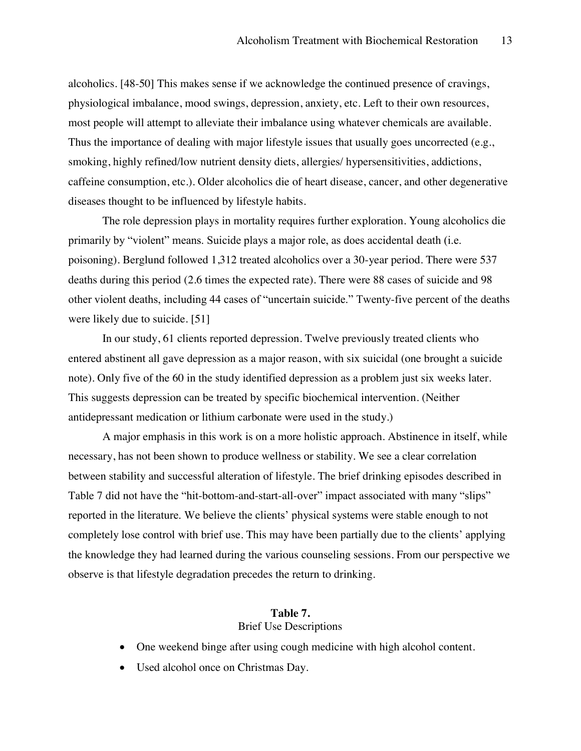alcoholics. [48-50] This makes sense if we acknowledge the continued presence of cravings, physiological imbalance, mood swings, depression, anxiety, etc. Left to their own resources, most people will attempt to alleviate their imbalance using whatever chemicals are available. Thus the importance of dealing with major lifestyle issues that usually goes uncorrected (e.g., smoking, highly refined/low nutrient density diets, allergies/ hypersensitivities, addictions, caffeine consumption, etc.). Older alcoholics die of heart disease, cancer, and other degenerative diseases thought to be influenced by lifestyle habits.

The role depression plays in mortality requires further exploration. Young alcoholics die primarily by "violent" means. Suicide plays a major role, as does accidental death (i.e. poisoning). Berglund followed 1,312 treated alcoholics over a 30-year period. There were 537 deaths during this period (2.6 times the expected rate). There were 88 cases of suicide and 98 other violent deaths, including 44 cases of "uncertain suicide." Twenty-five percent of the deaths were likely due to suicide. [51]

In our study, 61 clients reported depression. Twelve previously treated clients who entered abstinent all gave depression as a major reason, with six suicidal (one brought a suicide note). Only five of the 60 in the study identified depression as a problem just six weeks later. This suggests depression can be treated by specific biochemical intervention. (Neither antidepressant medication or lithium carbonate were used in the study.)

A major emphasis in this work is on a more holistic approach. Abstinence in itself, while necessary, has not been shown to produce wellness or stability. We see a clear correlation between stability and successful alteration of lifestyle. The brief drinking episodes described in Table 7 did not have the "hit-bottom-and-start-all-over" impact associated with many "slips" reported in the literature. We believe the clients' physical systems were stable enough to not completely lose control with brief use. This may have been partially due to the clients' applying the knowledge they had learned during the various counseling sessions. From our perspective we observe is that lifestyle degradation precedes the return to drinking.

## **Table 7.** Brief Use Descriptions

- ! One weekend binge after using cough medicine with high alcohol content.
- Used alcohol once on Christmas Day.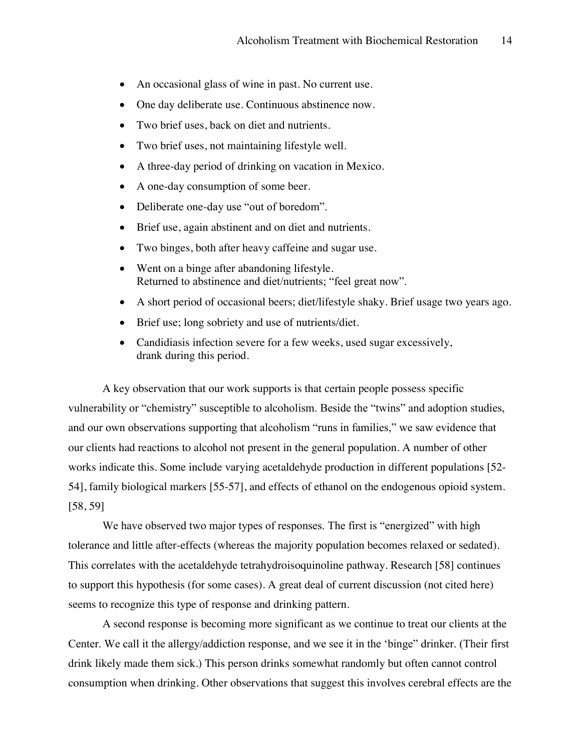- An occasional glass of wine in past. No current use.
- One day deliberate use. Continuous abstinence now.
- Two brief uses, back on diet and nutrients.
- Two brief uses, not maintaining lifestyle well.
- A three-day period of drinking on vacation in Mexico.
- A one-day consumption of some beer.
- Deliberate one-day use "out of boredom".
- Brief use, again abstinent and on diet and nutrients.
- Two binges, both after heavy caffeine and sugar use.
- Went on a binge after abandoning lifestyle. Returned to abstinence and diet/nutrients; "feel great now".
- ! A short period of occasional beers; diet/lifestyle shaky. Brief usage two years ago.
- Brief use; long sobriety and use of nutrients/diet.
- Candidiasis infection severe for a few weeks, used sugar excessively, drank during this period.

A key observation that our work supports is that certain people possess specific vulnerability or "chemistry" susceptible to alcoholism. Beside the "twins" and adoption studies, and our own observations supporting that alcoholism "runs in families," we saw evidence that our clients had reactions to alcohol not present in the general population. A number of other works indicate this. Some include varying acetaldehyde production in different populations [52- 54], family biological markers [55-57], and effects of ethanol on the endogenous opioid system. [58, 59]

We have observed two major types of responses. The first is "energized" with high tolerance and little after-effects (whereas the majority population becomes relaxed or sedated). This correlates with the acetaldehyde tetrahydroisoquinoline pathway. Research [58] continues to support this hypothesis (for some cases). A great deal of current discussion (not cited here) seems to recognize this type of response and drinking pattern.

A second response is becoming more significant as we continue to treat our clients at the Center. We call it the allergy/addiction response, and we see it in the 'binge'' drinker. (Their first drink likely made them sick.) This person drinks somewhat randomly but often cannot control consumption when drinking. Other observations that suggest this involves cerebral effects are the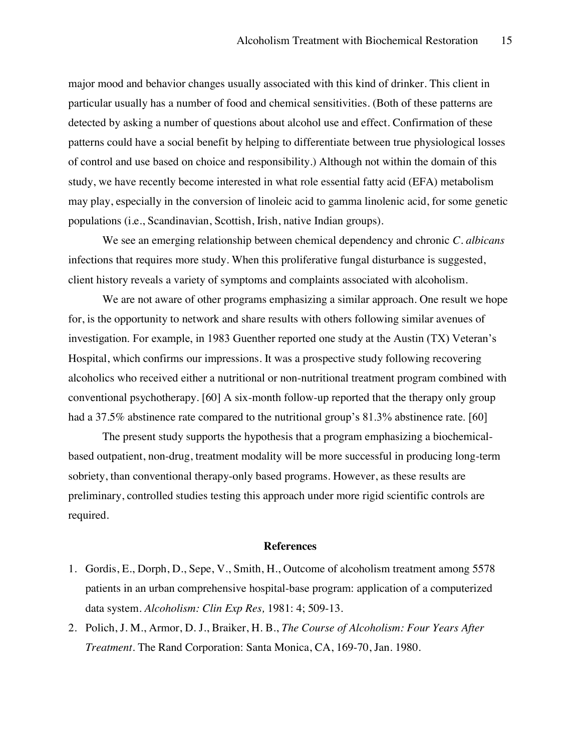major mood and behavior changes usually associated with this kind of drinker. This client in particular usually has a number of food and chemical sensitivities. (Both of these patterns are detected by asking a number of questions about alcohol use and effect. Confirmation of these patterns could have a social benefit by helping to differentiate between true physiological losses of control and use based on choice and responsibility.) Although not within the domain of this study, we have recently become interested in what role essential fatty acid (EFA) metabolism may play, especially in the conversion of linoleic acid to gamma linolenic acid, for some genetic populations (i.e., Scandinavian, Scottish, Irish, native Indian groups).

We see an emerging relationship between chemical dependency and chronic *C. albicans* infections that requires more study. When this proliferative fungal disturbance is suggested, client history reveals a variety of symptoms and complaints associated with alcoholism.

We are not aware of other programs emphasizing a similar approach. One result we hope for, is the opportunity to network and share results with others following similar avenues of investigation. For example, in 1983 Guenther reported one study at the Austin (TX) Veteran's Hospital, which confirms our impressions. It was a prospective study following recovering alcoholics who received either a nutritional or non-nutritional treatment program combined with conventional psychotherapy. [60] A six-month follow-up reported that the therapy only group had a 37.5% abstinence rate compared to the nutritional group's  $81.3\%$  abstinence rate. [60]

The present study supports the hypothesis that a program emphasizing a biochemicalbased outpatient, non-drug, treatment modality will be more successful in producing long-term sobriety, than conventional therapy-only based programs. However, as these results are preliminary, controlled studies testing this approach under more rigid scientific controls are required.

#### **References**

- 1. Gordis, E., Dorph, D., Sepe, V., Smith, H., Outcome of alcoholism treatment among 5578 patients in an urban comprehensive hospital-base program: application of a computerized data system. *Alcoholism: Clin Exp Res,* 1981: 4; 509-13.
- 2. Polich, J. M., Armor, D. J., Braiker, H. B., *The Course of Alcoholism: Four Years After Treatment.* The Rand Corporation: Santa Monica, CA, 169-70, Jan. 1980.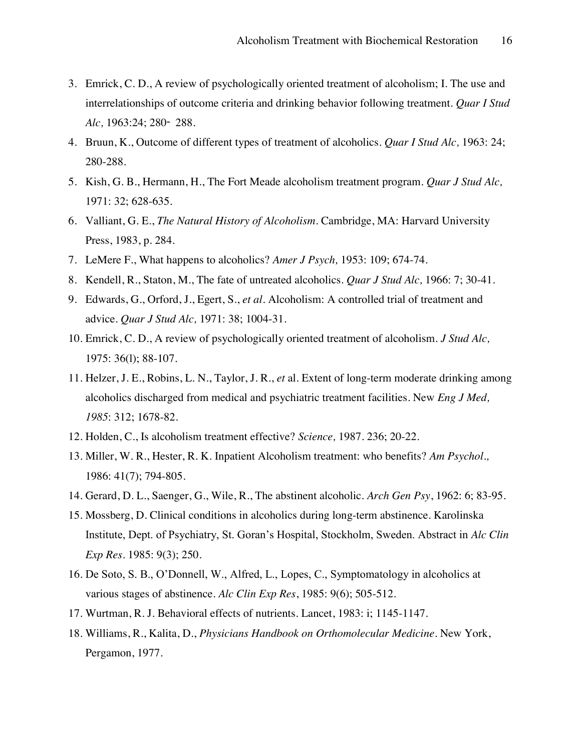- 3. Emrick, C. D., A review of psychologically oriented treatment of alcoholism; I. The use and interrelationships of outcome criteria and drinking behavior following treatment. *Quar I Stud Alc,* 1963:24; 280䯉 288.
- 4. Bruun, K., Outcome of different types of treatment of alcoholics. *Quar I Stud Alc,* 1963: 24; 280-288.
- 5. Kish, G. B., Hermann, H., The Fort Meade alcoholism treatment program. *Quar J Stud Alc,* 1971: 32; 628-635.
- 6. Valliant, G. E., *The Natural History of Alcoholism.* Cambridge, MA: Harvard University Press, 1983, p. 284.
- 7. LeMere F., What happens to alcoholics? *Amer J Psych,* 1953: 109; 674-74.
- 8. Kendell, R., Staton, M., The fate of untreated alcoholics. *Quar J Stud Alc,* 1966: 7; 30-41.
- 9. Edwards, G., Orford, J., Egert, S., *et al.* Alcoholism: A controlled trial of treatment and advice. *Quar J Stud Alc,* 1971: 38; 1004-31.
- 10. Emrick, C. D., A review of psychologically oriented treatment of alcoholism. *J Stud Alc,* 1975: 36(l); 88-107.
- 11. Helzer, J. E., Robins, L. N., Taylor, J. R., *et* al. Extent of long-term moderate drinking among alcoholics discharged from medical and psychiatric treatment facilities. New *Eng J Med, 1985*: 312; 1678-82.
- 12. Holden, C., Is alcoholism treatment effective? *Science,* 1987. 236; 20-22.
- 13. Miller, W. R., Hester, R. K. Inpatient Alcoholism treatment: who benefits? *Am Psychol.,* 1986: 41(7); 794-805.
- 14. Gerard, D. L., Saenger, G., Wile, R., The abstinent alcoholic. *Arch Gen Psy*, 1962: 6; 83-95.
- 15. Mossberg, D. Clinical conditions in alcoholics during long-term abstinence. Karolinska Institute, Dept. of Psychiatry, St. Goran's Hospital, Stockholm, Sweden. Abstract in *Alc Clin Exp Res.* 1985: 9(3); 250.
- 16. De Soto, S. B., O'Donnell, W., Alfred, L., Lopes, C., Symptomatology in alcoholics at various stages of abstinence. *Alc Clin Exp Res*, 1985: 9(6); 505-512.
- 17. Wurtman, R. J. Behavioral effects of nutrients. Lancet, 1983: i; 1145-1147.
- 18. Williams, R., Kalita, D., *Physicians Handbook on Orthomolecular Medicine*. New York, Pergamon, 1977.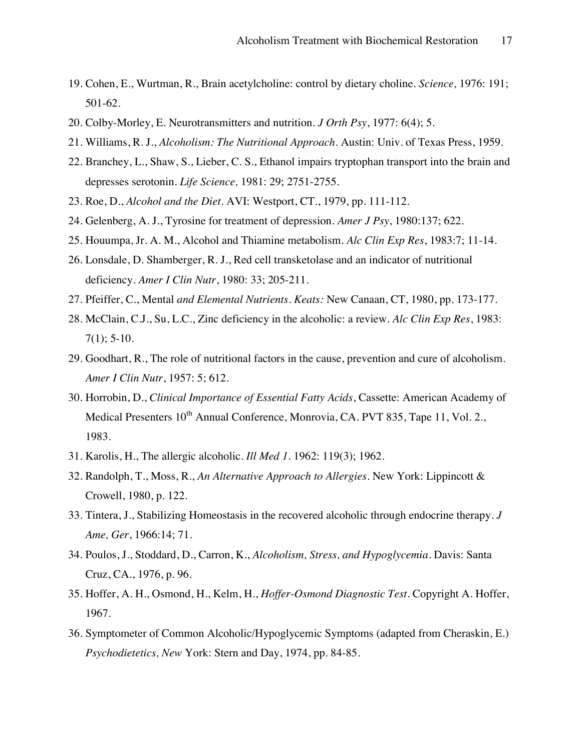- 19. Cohen, E., Wurtman, R., Brain acetylcholine: control by dietary choline. *Science,* 1976: 191; 501-62.
- 20. Colby-Morley, E. Neurotransmitters and nutrition. *J Orth Psy*, 1977: 6(4); 5.
- 21. Williams, R. J., *Alcoholism: The Nutritional Approach*. Austin: Univ. of Texas Press, 1959.
- 22. Branchey, L., Shaw, S., Lieber, C. S., Ethanol impairs tryptophan transport into the brain and depresses serotonin. *Life Science,* 1981: 29; 2751-2755.
- 23. Roe, D., *Alcohol and the Diet*. AVI: Westport, CT., 1979, pp. 111-112.
- 24. Gelenberg, A. J., Tyrosine for treatment of depression. *Amer J Psy*, 1980:137; 622.
- 25. Houumpa, Jr. A. M., Alcohol and Thiamine metabolism. *Alc Clin Exp Res*, 1983:7; 11-14.
- 26. Lonsdale, D. Shamberger, R. J., Red cell transketolase and an indicator of nutritional deficiency. *Amer I Clin Nutr*, 1980: 33; 205-211.
- 27. Pfeiffer, C., Mental *and Elemental Nutrients. Keats:* New Canaan, CT, 1980, pp. 173-177.
- 28. McClain, C.J., Su, L.C., Zinc deficiency in the alcoholic: a review. *Alc Clin Exp Res*, 1983:  $7(1)$ ; 5-10.
- 29. Goodhart, R., The role of nutritional factors in the cause, prevention and cure of alcoholism. *Amer I Clin Nutr*, 1957: 5; 612.
- 30. Horrobin, D., *Clinical Importance of Essential Fatty Acids*, Cassette: American Academy of Medical Presenters 10<sup>th</sup> Annual Conference, Monrovia, CA. PVT 835, Tape 11, Vol. 2., 1983.
- 31. Karolis, H., The allergic alcoholic. *Ill Med 1.* 1962: 119(3); 1962.
- 32. Randolph, T., Moss, R., *An Alternative Approach to Allergies*. New York: Lippincott & Crowell, 1980, p. 122.
- 33. Tintera, J., Stabilizing Homeostasis in the recovered alcoholic through endocrine therapy*. J Ame, Ger*, 1966:14; 71.
- 34. Poulos, J., Stoddard, D., Carron, K., *Alcoholism, Stress, and Hypoglycemia*. Davis: Santa Cruz, CA., 1976, p. 96.
- 35. Hoffer, A. H., Osmond, H., Kelm, H., *Hoffer-Osmond Diagnostic Test*. Copyright A. Hoffer, 1967.
- 36. Symptometer of Common Alcoholic/Hypoglycemic Symptoms (adapted from Cheraskin, E.) *Psychodietetics, New* York: Stern and Day, 1974, pp. 84-85.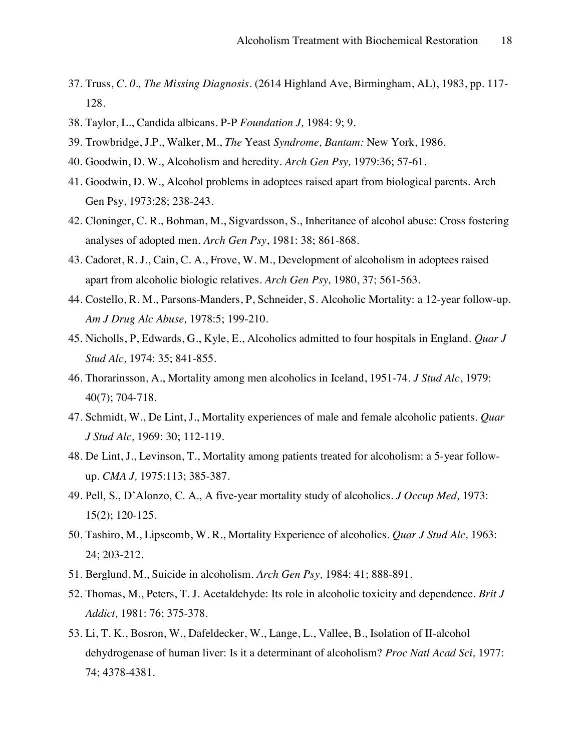- 37. Truss, *C. 0., The Missing Diagnosis*. (2614 Highland Ave, Birmingham, AL), 1983, pp. 117- 128.
- 38. Taylor, L., Candida albicans. P-P *Foundation J,* 1984: 9; 9.
- 39. Trowbridge, J.P., Walker, M., *The* Yeast *Syndrome, Bantam:* New York, 1986.
- 40. Goodwin, D. W., Alcoholism and heredity. *Arch Gen Psy,* 1979:36; 57-61.
- 41. Goodwin, D. W., Alcohol problems in adoptees raised apart from biological parents. Arch Gen Psy, 1973:28; 238-243.
- 42. Cloninger, C. R., Bohman, M., Sigvardsson, S., Inheritance of alcohol abuse: Cross fostering analyses of adopted men. *Arch Gen Psy*, 1981: 38; 861-868.
- 43. Cadoret, R. J., Cain, C. A., Frove, W. M., Development of alcoholism in adoptees raised apart from alcoholic biologic relatives. *Arch Gen Psy,* 1980, 37; 561-563.
- 44. Costello, R. M., Parsons-Manders, P, Schneider, S. Alcoholic Mortality: a 12-year follow-up*. Am J Drug Alc Abuse,* 1978:5; 199-210.
- 45. Nicholls, P, Edwards, G., Kyle, E., Alcoholics admitted to four hospitals in England. *Quar J Stud Alc,* 1974: 35; 841-855.
- 46. Thorarinsson, A., Mortality among men alcoholics in Iceland, 1951-74. *J Stud Alc*, 1979: 40(7); 704-718.
- 47. Schmidt, W., De Lint, J., Mortality experiences of male and female alcoholic patients. *Quar J Stud Alc,* 1969: 30; 112-119.
- 48. De Lint, J., Levinson, T., Mortality among patients treated for alcoholism: a 5-year followup. *CMA J,* 1975:113; 385-387.
- 49. Pell, S., D'Alonzo, C. A., A five-year mortality study of alcoholics. *J Occup Med*, 1973: 15(2); 120-125.
- 50. Tashiro, M., Lipscomb, W. R., Mortality Experience of alcoholics. *Quar J Stud Alc,* 1963: 24; 203-212.
- 51. Berglund, M., Suicide in alcoholism. *Arch Gen Psy,* 1984: 41; 888-891.
- 52. Thomas, M., Peters, T. J. Acetaldehyde: Its role in alcoholic toxicity and dependence. *Brit J Addict,* 1981: 76; 375-378.
- 53. Li, T. K., Bosron, W., Dafeldecker, W., Lange, L., Vallee, B., Isolation of II-alcohol dehydrogenase of human liver: Is it a determinant of alcoholism? *Proc Natl Acad Sci,* 1977: 74; 4378-4381.